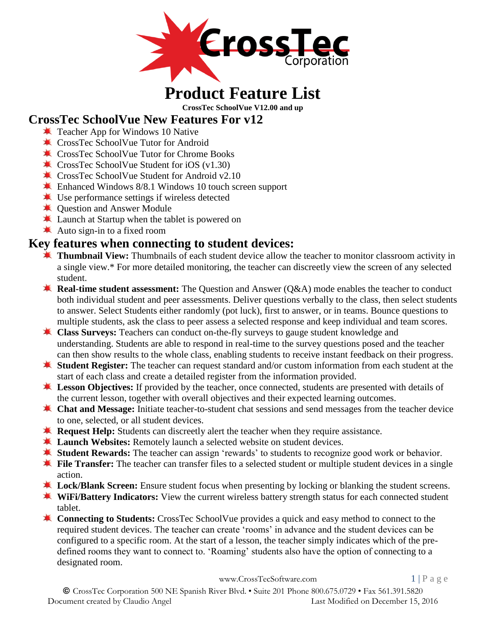

# **Product Feature List**

**CrossTec SchoolVue V12.00 and up**

### **CrossTec SchoolVue New Features For v12**

- **K** Teacher App for Windows 10 Native
- CrossTec SchoolVue Tutor for Android
- CrossTec SchoolVue Tutor for Chrome Books
- **EXECUTE:** CrossTec SchoolVue Student for iOS  $(v1.30)$
- $\bullet$  CrossTec SchoolVue Student for Android v2.10
- Enhanced Windows 8/8.1 Windows 10 touch screen support
- Use performance settings if wireless detected
- Question and Answer Module
- **Example 1** Launch at Startup when the tablet is powered on
- $*$  Auto sign-in to a fixed room

### **Key features when connecting to student devices:**

- **Thumbnail View:** Thumbnails of each student device allow the teacher to monitor classroom activity in a single view.\* For more detailed monitoring, the teacher can discreetly view the screen of any selected student.
- **Real-time student assessment:** The Question and Answer (Q&A) mode enables the teacher to conduct both individual student and peer assessments. Deliver questions verbally to the class, then select students to answer. Select Students either randomly (pot luck), first to answer, or in teams. Bounce questions to multiple students, ask the class to peer assess a selected response and keep individual and team scores.
- **K** Class Surveys: Teachers can conduct on-the-fly surveys to gauge student knowledge and understanding. Students are able to respond in real-time to the survey questions posed and the teacher can then show results to the whole class, enabling students to receive instant feedback on their progress.
- **Student Register:** The teacher can request standard and/or custom information from each student at the start of each class and create a detailed register from the information provided.
- **Lesson Objectives:** If provided by the teacher, once connected, students are presented with details of the current lesson, together with overall objectives and their expected learning outcomes.
- **K** Chat and Message: Initiate teacher-to-student chat sessions and send messages from the teacher device to one, selected, or all student devices.
- **Request Help:** Students can discreetly alert the teacher when they require assistance.
- **Launch Websites:** Remotely launch a selected website on student devices.
- **K** Student Rewards: The teacher can assign 'rewards' to students to recognize good work or behavior.
- **File Transfer:** The teacher can transfer files to a selected student or multiple student devices in a single action.
- **Example 1.4** Lock/Blank Screen: Ensure student focus when presenting by locking or blanking the student screens.
- **WiFi/Battery Indicators:** View the current wireless battery strength status for each connected student tablet.
- **Connecting to Students:** CrossTec SchoolVue provides a quick and easy method to connect to the required student devices. The teacher can create 'rooms' in advance and the student devices can be configured to a specific room. At the start of a lesson, the teacher simply indicates which of the predefined rooms they want to connect to. 'Roaming' students also have the option of connecting to a designated room.

[www.CrossTecSoftware.com](http://www.crosstecsoftware.com/) 1 | P a g e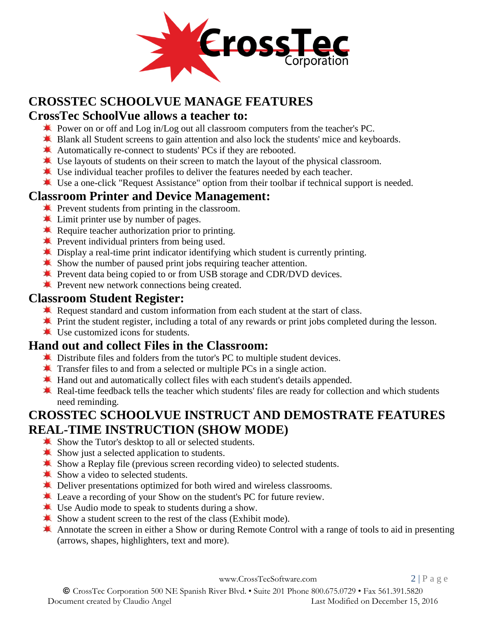

## **CROSSTEC SCHOOLVUE MANAGE FEATURES**

## **CrossTec SchoolVue allows a teacher to:**

- Power on or off and Log in/Log out all classroom computers from the teacher's PC.
- Blank all Student screens to gain attention and also lock the students' mice and keyboards.
- Automatically re-connect to students' PCs if they are rebooted.
- Use layouts of students on their screen to match the layout of the physical classroom.
- Use individual teacher profiles to deliver the features needed by each teacher.
- Use a one-click "Request Assistance" option from their toolbar if technical support is needed.

## **Classroom Printer and Device Management:**

- **EX** Prevent students from printing in the classroom.
- **<del></del>** Limit printer use by number of pages.
- $\triangleq$  Require teacher authorization prior to printing.
- **EX** Prevent individual printers from being used.
- Display a real-time print indicator identifying which student is currently printing.
- Show the number of paused print jobs requiring teacher attention.
- **EXECUTE:** Prevent data being copied to or from USB storage and CDR/DVD devices.
- **EXECUTE:** Prevent new network connections being created.

## **Classroom Student Register:**

- Request standard and custom information from each student at the start of class.
- **Example 1** Print the student register, including a total of any rewards or print jobs completed during the lesson.
- Use customized icons for students.

## **Hand out and collect Files in the Classroom:**

- **Distribute files and folders from the tutor's PC to multiple student devices.**
- Transfer files to and from a selected or multiple PCs in a single action.
- Hand out and automatically collect files with each student's details appended.
- Real-time feedback tells the teacher which students' files are ready for collection and which students need reminding.

## **CROSSTEC SCHOOLVUE INSTRUCT AND DEMOSTRATE FEATURES REAL-TIME INSTRUCTION (SHOW MODE)**

- \* Show the Tutor's desktop to all or selected students.
- Show just a selected application to students.
- Show a Replay file (previous screen recording video) to selected students.
- \* Show a video to selected students.
- Deliver presentations optimized for both wired and wireless classrooms.
- Leave a recording of your Show on the student's PC for future review.
- Use Audio mode to speak to students during a show.
- $\star$  Show a student screen to the rest of the class (Exhibit mode).
- Annotate the screen in either a Show or during Remote Control with a range of tools to aid in presenting (arrows, shapes, highlighters, text and more).

[www.CrossTecSoftware.com](http://www.crosstecsoftware.com/) 2 | P a g e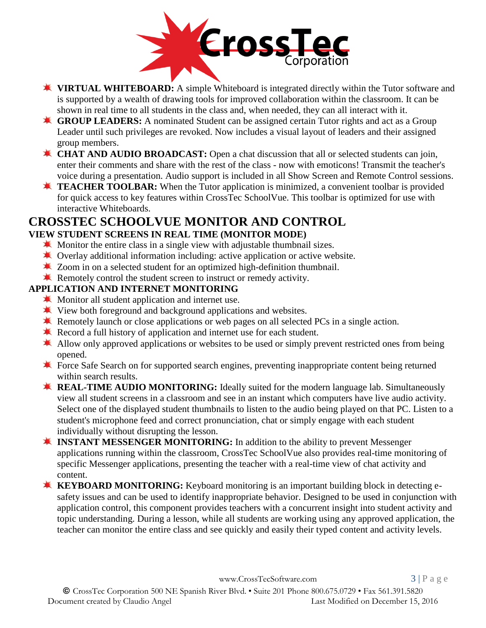

- **WIRTUAL WHITEBOARD:** A simple Whiteboard is integrated directly within the Tutor software and is supported by a wealth of drawing tools for improved collaboration within the classroom. It can be shown in real time to all students in the class and, when needed, they can all interact with it.
- **K** GROUP LEADERS: A nominated Student can be assigned certain Tutor rights and act as a Group Leader until such privileges are revoked. Now includes a visual layout of leaders and their assigned group members.
- **CHAT AND AUDIO BROADCAST:** Open a chat discussion that all or selected students can join, enter their comments and share with the rest of the class - now with emoticons! Transmit the teacher's voice during a presentation. Audio support is included in all Show Screen and Remote Control sessions.
- **TEACHER TOOLBAR:** When the Tutor application is minimized, a convenient toolbar is provided for quick access to key features within CrossTec SchoolVue. This toolbar is optimized for use with interactive Whiteboards.

## **CROSSTEC SCHOOLVUE MONITOR AND CONTROL**

#### **VIEW STUDENT SCREENS IN REAL TIME (MONITOR MODE)**

- Monitor the entire class in a single view with adjustable thumbnail sizes.
- Overlay additional information including: active application or active website.
- **X** Zoom in on a selected student for an optimized high-definition thumbnail.
- **K** Remotely control the student screen to instruct or remedy activity.

### **APPLICATION AND INTERNET MONITORING**

- **K** Monitor all student application and internet use.
- View both foreground and background applications and websites.
- **K** Remotely launch or close applications or web pages on all selected PCs in a single action.
- **K** Record a full history of application and internet use for each student.
- Allow only approved applications or websites to be used or simply prevent restricted ones from being opened.
- Force Safe Search on for supported search engines, preventing inappropriate content being returned within search results.
- **REAL-TIME AUDIO MONITORING:** Ideally suited for the modern language lab. Simultaneously view all student screens in a classroom and see in an instant which computers have live audio activity. Select one of the displayed student thumbnails to listen to the audio being played on that PC. Listen to a student's microphone feed and correct pronunciation, chat or simply engage with each student individually without disrupting the lesson.
- **INSTANT MESSENGER MONITORING:** In addition to the ability to prevent Messenger applications running within the classroom, CrossTec SchoolVue also provides real-time monitoring of specific Messenger applications, presenting the teacher with a real-time view of chat activity and content.
- **KEYBOARD MONITORING:** Keyboard monitoring is an important building block in detecting esafety issues and can be used to identify inappropriate behavior. Designed to be used in conjunction with application control, this component provides teachers with a concurrent insight into student activity and topic understanding. During a lesson, while all students are working using any approved application, the teacher can monitor the entire class and see quickly and easily their typed content and activity levels.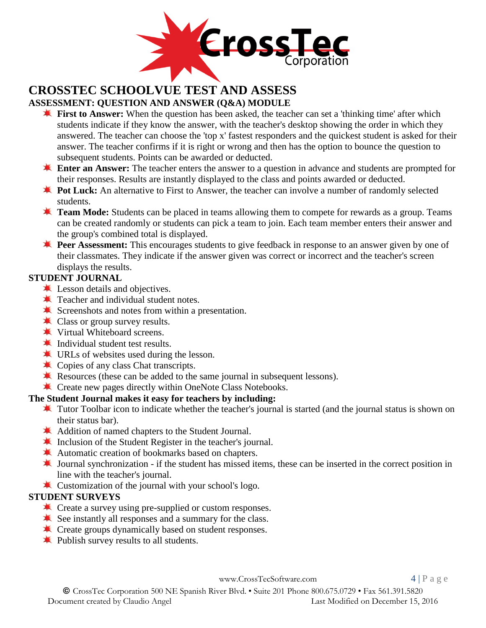

## **CROSSTEC SCHOOLVUE TEST AND ASSESS**

### **ASSESSMENT: QUESTION AND ANSWER (Q&A) MODULE**

- **First to Answer:** When the question has been asked, the teacher can set a 'thinking time' after which students indicate if they know the answer, with the teacher's desktop showing the order in which they answered. The teacher can choose the 'top x' fastest responders and the quickest student is asked for their answer. The teacher confirms if it is right or wrong and then has the option to bounce the question to subsequent students. Points can be awarded or deducted.
- **Enter an Answer:** The teacher enters the answer to a question in advance and students are prompted for their responses. Results are instantly displayed to the class and points awarded or deducted.
- **Pot Luck:** An alternative to First to Answer, the teacher can involve a number of randomly selected students.
- **Team Mode:** Students can be placed in teams allowing them to compete for rewards as a group. Teams can be created randomly or students can pick a team to join. Each team member enters their answer and the group's combined total is displayed.
- **Peer Assessment:** This encourages students to give feedback in response to an answer given by one of their classmates. They indicate if the answer given was correct or incorrect and the teacher's screen displays the results.

#### **STUDENT JOURNAL**

- $*$  Lesson details and objectives.
- **K** Teacher and individual student notes.
- Screenshots and notes from within a presentation.
- K Class or group survey results.
- $\text{\textbf{*}}$  Virtual Whiteboard screens.
- $\textbf{\textit{I}}$  Individual student test results.
- URLs of websites used during the lesson.
- Copies of any class Chat transcripts.
- Resources (these can be added to the same journal in subsequent lessons).
- **K** Create new pages directly within OneNote Class Notebooks.

#### **The Student Journal makes it easy for teachers by including:**

- Tutor Toolbar icon to indicate whether the teacher's journal is started (and the journal status is shown on their status bar).
- Addition of named chapters to the Student Journal.
- Inclusion of the Student Register in the teacher's journal.
- Automatic creation of bookmarks based on chapters.
- $\bullet$  Journal synchronization if the student has missed items, these can be inserted in the correct position in line with the teacher's journal.
- Customization of the journal with your school's logo.

#### **STUDENT SURVEYS**

- Create a survey using pre-supplied or custom responses.
- See instantly all responses and a summary for the class.
- **EXECT** Create groups dynamically based on student responses.
- Publish survey results to all students.